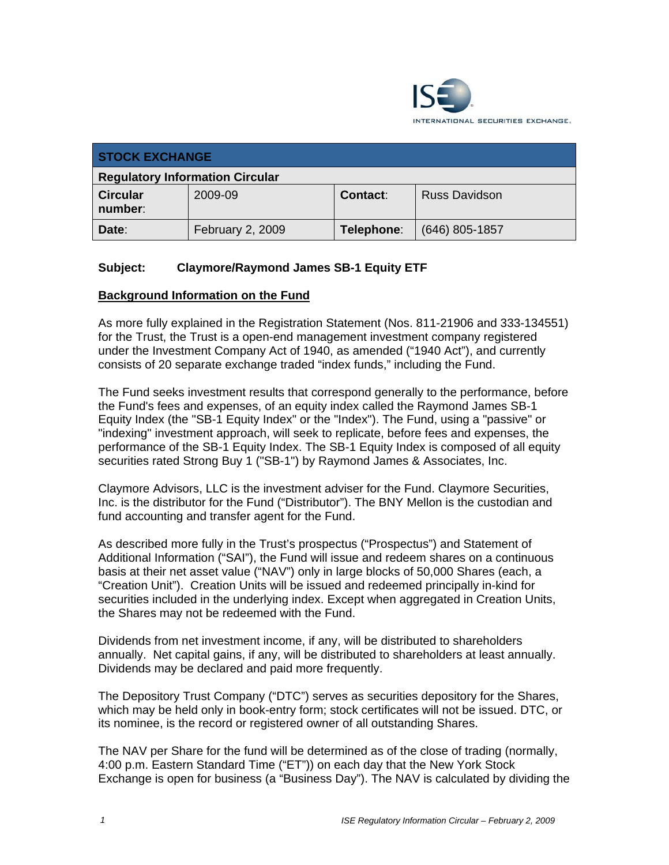

| <b>STOCK EXCHANGE</b>                  |                  |            |                      |
|----------------------------------------|------------------|------------|----------------------|
| <b>Regulatory Information Circular</b> |                  |            |                      |
| <b>Circular</b><br>number:             | 2009-09          | Contact:   | <b>Russ Davidson</b> |
| Date:                                  | February 2, 2009 | Telephone: | $(646)$ 805-1857     |

# **Subject: Claymore/Raymond James SB-1 Equity ETF**

#### **Background Information on the Fund**

As more fully explained in the Registration Statement (Nos. 811-21906 and 333-134551) for the Trust, the Trust is a open-end management investment company registered under the Investment Company Act of 1940, as amended ("1940 Act"), and currently consists of 20 separate exchange traded "index funds," including the Fund.

The Fund seeks investment results that correspond generally to the performance, before the Fund's fees and expenses, of an equity index called the Raymond James SB-1 Equity Index (the "SB-1 Equity Index" or the "Index"). The Fund, using a "passive" or "indexing" investment approach, will seek to replicate, before fees and expenses, the performance of the SB-1 Equity Index. The SB-1 Equity Index is composed of all equity securities rated Strong Buy 1 ("SB-1") by Raymond James & Associates, Inc.

Claymore Advisors, LLC is the investment adviser for the Fund. Claymore Securities, Inc. is the distributor for the Fund ("Distributor"). The BNY Mellon is the custodian and fund accounting and transfer agent for the Fund.

As described more fully in the Trust's prospectus ("Prospectus") and Statement of Additional Information ("SAI"), the Fund will issue and redeem shares on a continuous basis at their net asset value ("NAV") only in large blocks of 50,000 Shares (each, a "Creation Unit"). Creation Units will be issued and redeemed principally in-kind for securities included in the underlying index. Except when aggregated in Creation Units, the Shares may not be redeemed with the Fund.

Dividends from net investment income, if any, will be distributed to shareholders annually. Net capital gains, if any, will be distributed to shareholders at least annually. Dividends may be declared and paid more frequently.

The Depository Trust Company ("DTC") serves as securities depository for the Shares, which may be held only in book-entry form; stock certificates will not be issued. DTC, or its nominee, is the record or registered owner of all outstanding Shares.

The NAV per Share for the fund will be determined as of the close of trading (normally, 4:00 p.m. Eastern Standard Time ("ET")) on each day that the New York Stock Exchange is open for business (a "Business Day"). The NAV is calculated by dividing the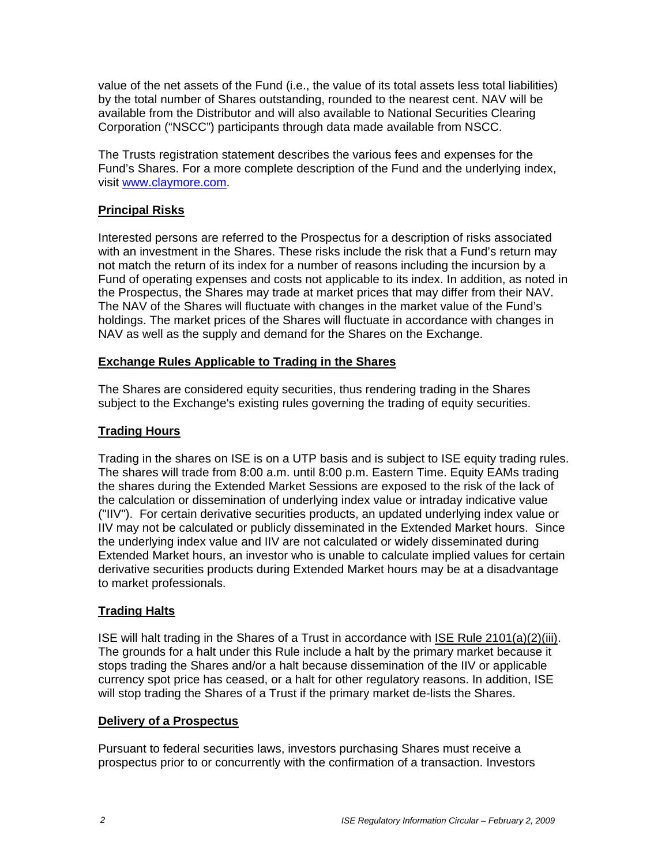value of the net assets of the Fund (i.e., the value of its total assets less total liabilities) by the total number of Shares outstanding, rounded to the nearest cent. NAV will be available from the Distributor and will also available to National Securities Clearing Corporation ("NSCC") participants through data made available from NSCC.

The Trusts registration statement describes the various fees and expenses for the Fund's Shares. For a more complete description of the Fund and the underlying index, visit www.claymore.com.

# **Principal Risks**

Interested persons are referred to the Prospectus for a description of risks associated with an investment in the Shares. These risks include the risk that a Fund's return may not match the return of its index for a number of reasons including the incursion by a Fund of operating expenses and costs not applicable to its index. In addition, as noted in the Prospectus, the Shares may trade at market prices that may differ from their NAV. The NAV of the Shares will fluctuate with changes in the market value of the Fund's holdings. The market prices of the Shares will fluctuate in accordance with changes in NAV as well as the supply and demand for the Shares on the Exchange.

## **Exchange Rules Applicable to Trading in the Shares**

The Shares are considered equity securities, thus rendering trading in the Shares subject to the Exchange's existing rules governing the trading of equity securities.

## **Trading Hours**

Trading in the shares on ISE is on a UTP basis and is subject to ISE equity trading rules. The shares will trade from 8:00 a.m. until 8:00 p.m. Eastern Time. Equity EAMs trading the shares during the Extended Market Sessions are exposed to the risk of the lack of the calculation or dissemination of underlying index value or intraday indicative value ("IIV"). For certain derivative securities products, an updated underlying index value or IIV may not be calculated or publicly disseminated in the Extended Market hours. Since the underlying index value and IIV are not calculated or widely disseminated during Extended Market hours, an investor who is unable to calculate implied values for certain derivative securities products during Extended Market hours may be at a disadvantage to market professionals.

## **Trading Halts**

ISE will halt trading in the Shares of a Trust in accordance with ISE Rule 2101(a)(2)(iii). The grounds for a halt under this Rule include a halt by the primary market because it stops trading the Shares and/or a halt because dissemination of the IIV or applicable currency spot price has ceased, or a halt for other regulatory reasons. In addition, ISE will stop trading the Shares of a Trust if the primary market de-lists the Shares.

#### **Delivery of a Prospectus**

Pursuant to federal securities laws, investors purchasing Shares must receive a prospectus prior to or concurrently with the confirmation of a transaction. Investors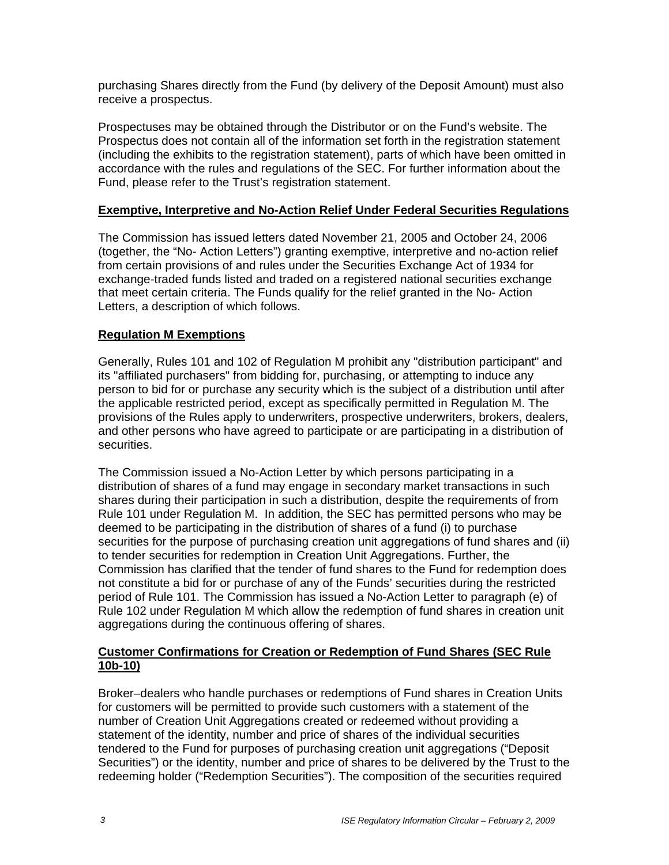purchasing Shares directly from the Fund (by delivery of the Deposit Amount) must also receive a prospectus.

Prospectuses may be obtained through the Distributor or on the Fund's website. The Prospectus does not contain all of the information set forth in the registration statement (including the exhibits to the registration statement), parts of which have been omitted in accordance with the rules and regulations of the SEC. For further information about the Fund, please refer to the Trust's registration statement.

## **Exemptive, Interpretive and No-Action Relief Under Federal Securities Regulations**

The Commission has issued letters dated November 21, 2005 and October 24, 2006 (together, the "No- Action Letters") granting exemptive, interpretive and no-action relief from certain provisions of and rules under the Securities Exchange Act of 1934 for exchange-traded funds listed and traded on a registered national securities exchange that meet certain criteria. The Funds qualify for the relief granted in the No- Action Letters, a description of which follows.

# **Regulation M Exemptions**

Generally, Rules 101 and 102 of Regulation M prohibit any "distribution participant" and its "affiliated purchasers" from bidding for, purchasing, or attempting to induce any person to bid for or purchase any security which is the subject of a distribution until after the applicable restricted period, except as specifically permitted in Regulation M. The provisions of the Rules apply to underwriters, prospective underwriters, brokers, dealers, and other persons who have agreed to participate or are participating in a distribution of securities.

The Commission issued a No-Action Letter by which persons participating in a distribution of shares of a fund may engage in secondary market transactions in such shares during their participation in such a distribution, despite the requirements of from Rule 101 under Regulation M. In addition, the SEC has permitted persons who may be deemed to be participating in the distribution of shares of a fund (i) to purchase securities for the purpose of purchasing creation unit aggregations of fund shares and (ii) to tender securities for redemption in Creation Unit Aggregations. Further, the Commission has clarified that the tender of fund shares to the Fund for redemption does not constitute a bid for or purchase of any of the Funds' securities during the restricted period of Rule 101. The Commission has issued a No-Action Letter to paragraph (e) of Rule 102 under Regulation M which allow the redemption of fund shares in creation unit aggregations during the continuous offering of shares.

## **Customer Confirmations for Creation or Redemption of Fund Shares (SEC Rule 10b-10)**

Broker–dealers who handle purchases or redemptions of Fund shares in Creation Units for customers will be permitted to provide such customers with a statement of the number of Creation Unit Aggregations created or redeemed without providing a statement of the identity, number and price of shares of the individual securities tendered to the Fund for purposes of purchasing creation unit aggregations ("Deposit Securities") or the identity, number and price of shares to be delivered by the Trust to the redeeming holder ("Redemption Securities"). The composition of the securities required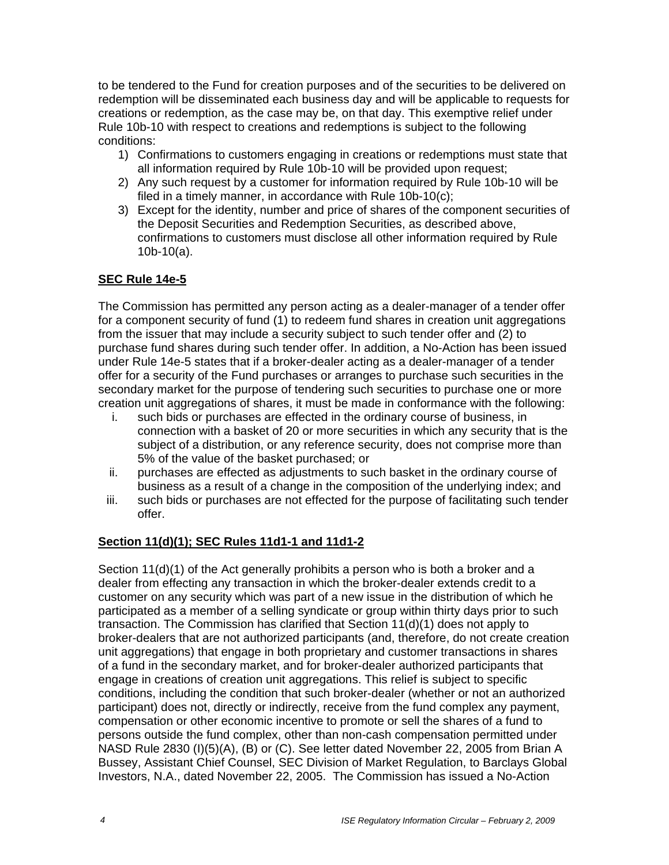to be tendered to the Fund for creation purposes and of the securities to be delivered on redemption will be disseminated each business day and will be applicable to requests for creations or redemption, as the case may be, on that day. This exemptive relief under Rule 10b-10 with respect to creations and redemptions is subject to the following conditions:

- 1) Confirmations to customers engaging in creations or redemptions must state that all information required by Rule 10b-10 will be provided upon request;
- 2) Any such request by a customer for information required by Rule 10b-10 will be filed in a timely manner, in accordance with Rule 10b-10(c);
- 3) Except for the identity, number and price of shares of the component securities of the Deposit Securities and Redemption Securities, as described above, confirmations to customers must disclose all other information required by Rule 10b-10(a).

# **SEC Rule 14e-5**

The Commission has permitted any person acting as a dealer-manager of a tender offer for a component security of fund (1) to redeem fund shares in creation unit aggregations from the issuer that may include a security subject to such tender offer and (2) to purchase fund shares during such tender offer. In addition, a No-Action has been issued under Rule 14e-5 states that if a broker-dealer acting as a dealer-manager of a tender offer for a security of the Fund purchases or arranges to purchase such securities in the secondary market for the purpose of tendering such securities to purchase one or more creation unit aggregations of shares, it must be made in conformance with the following:

- i. such bids or purchases are effected in the ordinary course of business, in connection with a basket of 20 or more securities in which any security that is the subject of a distribution, or any reference security, does not comprise more than 5% of the value of the basket purchased; or
- ii. purchases are effected as adjustments to such basket in the ordinary course of business as a result of a change in the composition of the underlying index; and
- iii. such bids or purchases are not effected for the purpose of facilitating such tender offer.

## **Section 11(d)(1); SEC Rules 11d1-1 and 11d1-2**

Section 11(d)(1) of the Act generally prohibits a person who is both a broker and a dealer from effecting any transaction in which the broker-dealer extends credit to a customer on any security which was part of a new issue in the distribution of which he participated as a member of a selling syndicate or group within thirty days prior to such transaction. The Commission has clarified that Section 11(d)(1) does not apply to broker-dealers that are not authorized participants (and, therefore, do not create creation unit aggregations) that engage in both proprietary and customer transactions in shares of a fund in the secondary market, and for broker-dealer authorized participants that engage in creations of creation unit aggregations. This relief is subject to specific conditions, including the condition that such broker-dealer (whether or not an authorized participant) does not, directly or indirectly, receive from the fund complex any payment, compensation or other economic incentive to promote or sell the shares of a fund to persons outside the fund complex, other than non-cash compensation permitted under NASD Rule 2830 (I)(5)(A), (B) or (C). See letter dated November 22, 2005 from Brian A Bussey, Assistant Chief Counsel, SEC Division of Market Regulation, to Barclays Global Investors, N.A., dated November 22, 2005. The Commission has issued a No-Action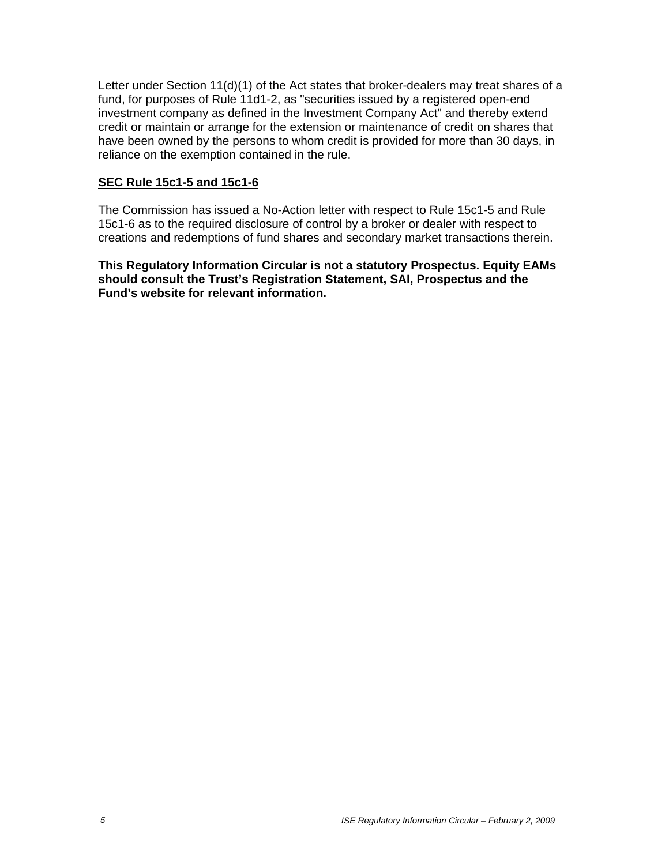Letter under Section 11(d)(1) of the Act states that broker-dealers may treat shares of a fund, for purposes of Rule 11d1-2, as "securities issued by a registered open-end investment company as defined in the Investment Company Act" and thereby extend credit or maintain or arrange for the extension or maintenance of credit on shares that have been owned by the persons to whom credit is provided for more than 30 days, in reliance on the exemption contained in the rule.

#### **SEC Rule 15c1-5 and 15c1-6**

The Commission has issued a No-Action letter with respect to Rule 15c1-5 and Rule 15c1-6 as to the required disclosure of control by a broker or dealer with respect to creations and redemptions of fund shares and secondary market transactions therein.

**This Regulatory Information Circular is not a statutory Prospectus. Equity EAMs should consult the Trust's Registration Statement, SAI, Prospectus and the Fund's website for relevant information.**